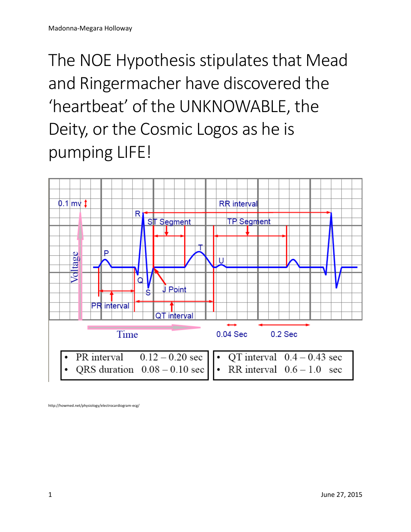## The NOE Hypothesis stipulates that Mead and Ringermacher have discovered the 'heartbeat' of the UNKNOWABLE, the Deity, or the Cosmic Logos as he is pumping LIFE!



http://howmed.net/physiology/electrocardiogram-ecg/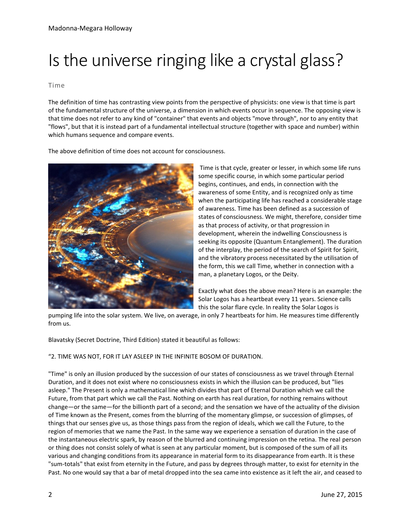## Is the universe ringing like a crystal glass?

## Time

The definition of time has contrasting view points from the perspective of physicists: one view is that time is part of the fundamental structure of the universe, a dimension in which events occur in sequence. The opposing view is that time does not refer to any kind of "container" that events and objects "move through", nor to any entity that "flows", but that it is instead part of a fundamental intellectual structure (together with space and number) within which humans sequence and compare events.

The above definition of time does not account for consciousness.



Time is that cycle, greater or lesser, in which some life runs some specific course, in which some particular period begins, continues, and ends, in connection with the awareness of some Entity, and is recognized only as time when the participating life has reached a considerable stage of awareness. Time has been defined as a succession of states of consciousness. We might, therefore, consider time as that process of activity, or that progression in development, wherein the indwelling Consciousness is seeking its opposite (Quantum Entanglement). The duration of the interplay, the period of the search of Spirit for Spirit, and the vibratory process necessitated by the utilisation of the form, this we call Time, whether in connection with a man, a planetary Logos, or the Deity.

Exactly what does the above mean? Here is an example: the Solar Logos has a heartbeat every 11 years. Science calls this the solar flare cycle. In reality the Solar Logos is

pumping life into the solar system. We live, on average, in only 7 heartbeats for him. He measures time differently from us.

Blavatsky (Secret Doctrine, Third Edition) stated it beautiful as follows:

## "2. TIME WAS NOT, FOR IT LAY ASLEEP IN THE INFINITE BOSOM OF DURATION.

"Time" is only an illusion produced by the succession of our states of consciousness as we travel through Eternal Duration, and it does not exist where no consciousness exists in which the illusion can be produced, but "lies asleep." The Present is only a mathematical line which divides that part of Eternal Duration which we call the Future, from that part which we call the Past. Nothing on earth has real duration, for nothing remains without change—or the same—for the billionth part of a second; and the sensation we have of the actuality of the division of Time known as the Present, comes from the blurring of the momentary glimpse, or succession of glimpses, of things that our senses give us, as those things pass from the region of ideals, which we call the Future, to the region of memories that we name the Past. In the same way we experience a sensation of duration in the case of the instantaneous electric spark, by reason of the blurred and continuing impression on the retina. The real person or thing does not consist solely of what is seen at any particular moment, but is composed of the sum of all its various and changing conditions from its appearance in material form to its disappearance from earth. It is these "sum-totals" that exist from eternity in the Future, and pass by degrees through matter, to exist for eternity in the Past. No one would say that a bar of metal dropped into the sea came into existence as it left the air, and ceased to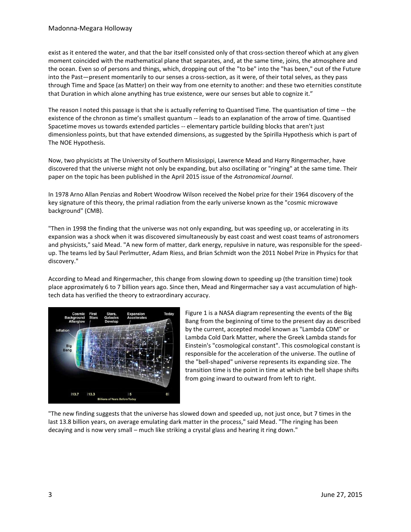exist as it entered the water, and that the bar itself consisted only of that cross-section thereof which at any given moment coincided with the mathematical plane that separates, and, at the same time, joins, the atmosphere and the ocean. Even so of persons and things, which, dropping out of the "to be" into the "has been," out of the Future into the Past—present momentarily to our senses a cross-section, as it were, of their total selves, as they pass through Time and Space (as Matter) on their way from one eternity to another: and these two eternities constitute that Duration in which alone anything has true existence, were our senses but able to cognize it."

The reason I noted this passage is that she is actually referring to Quantised Time. The quantisation of time -- the existence of the chronon as time's smallest quantum -- leads to an explanation of the arrow of time. Quantised Spacetime moves us towards extended particles -- elementary particle building blocks that aren't just dimensionless points, but that have extended dimensions, as suggested by the Spirilla Hypothesis which is part of The NOE Hypothesis.

Now, two physicists at The University of Southern Mississippi, Lawrence Mead and Harry Ringermacher, have discovered that the universe might not only be expanding, but also oscillating or "ringing" at the same time. Their paper on the topic has been published in the April 2015 issue of the *Astronomical Journal*.

In 1978 Arno Allan Penzias and Robert Woodrow Wilson received the Nobel prize for their 1964 discovery of the key signature of this theory, the primal radiation from the early universe known as the "cosmic microwave background" (CMB).

"Then in 1998 the finding that the universe was not only expanding, but was speeding up, or accelerating in its expansion was a shock when it was discovered simultaneously by east coast and west coast teams of astronomers and physicists," said Mead. "A new form of matter, dark energy, repulsive in nature, was responsible for the speedup. The teams led by Saul Perlmutter, Adam Riess, and Brian Schmidt won the 2011 Nobel Prize in Physics for that discovery."

According to Mead and Ringermacher, this change from slowing down to speeding up (the transition time) took place approximately 6 to 7 billion years ago. Since then, Mead and Ringermacher say a vast accumulation of hightech data has verified the theory to extraordinary accuracy.



Figure 1 is a NASA diagram representing the events of the Big Bang from the beginning of time to the present day as described by the current, accepted model known as "Lambda CDM" or Lambda Cold Dark Matter, where the Greek Lambda stands for Einstein's "cosmological constant". This cosmological constant is responsible for the acceleration of the universe. The outline of the "bell-shaped" universe represents its expanding size. The transition time is the point in time at which the bell shape shifts from going inward to outward from left to right.

"The new finding suggests that the universe has slowed down and speeded up, not just once, but 7 times in the last 13.8 billion years, on average emulating dark matter in the process," said Mead. "The ringing has been decaying and is now very small – much like striking a crystal glass and hearing it ring down."